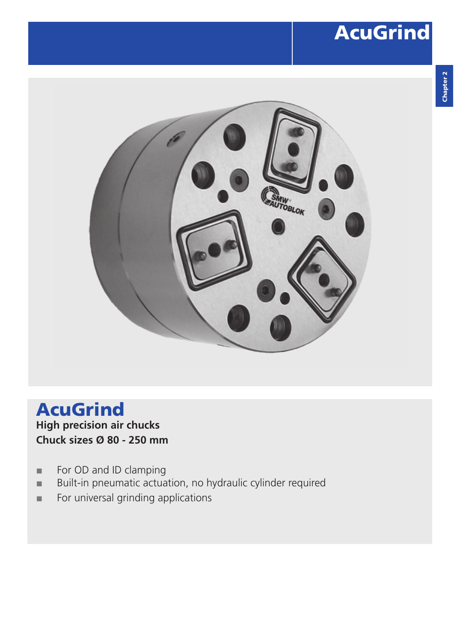## AcuGrind



### AcuGrind **High precision air chucks Chuck sizes Ø 80 - 250 mm**

- **■** For OD and ID clamping
- Built-in pneumatic actuation, no hydraulic cylinder required
- **■** For universal grinding applications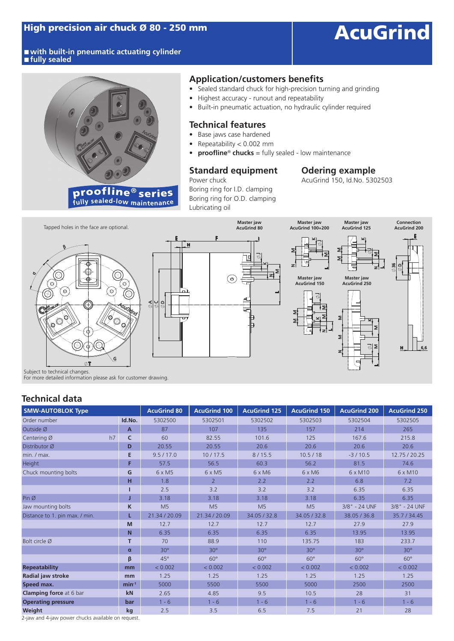■ with built-in pneumatic actuating cylinder **■ fully sealed**



### **Application/customers benefits**

- Sealed standard chuck for high-precision turning and grinding
- Highest accuracy runout and repeatability
- Built-in pneumatic actuation, no hydraulic cylinder required

#### **Technical features**

- Base jaws case hardened
- Repeatability < 0.002 mm
- **• proofline**® **chucks** = fully sealed low maintenance

### **Standard equipment Odering example**<br>**Power chuck Power chuck AcuGrind 150, Id.No. 530**

Boring ring for I.D. clamping Boring ring for O.D. clamping Lubricating oil

AcuGrind 150, Id.No. 5302503



Subject to technical changes.

For more detailed information please ask for customer drawing.

### **Technical data**

| <b>SMW-AUTOBLOK Type</b>       |              | <b>AcuGrind 80</b> | <b>AcuGrind 100</b> | <b>AcuGrind 125</b> | <b>AcuGrind 150</b> | <b>AcuGrind 200</b> | <b>AcuGrind 250</b> |
|--------------------------------|--------------|--------------------|---------------------|---------------------|---------------------|---------------------|---------------------|
| Order number                   | Id.No.       | 5302500            | 5302501             | 5302502             | 5302503             | 5302504             | 5302505             |
| Outside Ø                      | $\mathsf{A}$ | 87                 | 107                 | 135                 | 157                 | 214                 | 265                 |
| h7<br>Centering Ø              | C            | 60                 | 82.55               | 101.6               | 125                 | 167.6               | 215.8               |
| Distributor Ø                  | D            | 20.55              | 20.55               | 20.6                | 20.6                | 20.6                | 20.6                |
| min. / max.                    | E            | 9.5 / 17.0         | 10/17.5             | 8/15.5              | 10.5/18             | $-3/10.5$           | 12.75 / 20.25       |
| Height                         | F            | 57.5               | 56.5                | 60.3                | 56.2                | 81.5                | 74.6                |
| Chuck mounting bolts           | G            | 6 x M5             | $6 \times M5$       | 6 x M6              | 6 x M6              | 6 x M10             | $6 \times M10$      |
|                                | н            | 1.8                | $\overline{2}$      | 2.2                 | 2.2                 | 6.8                 | 7.2                 |
|                                |              | 2.5                | 3.2                 | 3.2                 | 3.2                 | 6.35                | 6.35                |
| Pin Ø                          |              | 3.18               | 3.18                | 3.18                | 3.18                | 6.35                | 6.35                |
| Jaw mounting bolts             | K            | M <sub>5</sub>     | M <sub>5</sub>      | M <sub>5</sub>      | M <sub>5</sub>      | 3/8" - 24 UNF       | 3/8" - 24 UNF       |
| Distance to 1. pin max. / min. |              | 21.34 / 20.09      | 21.34 / 20.09       | 34.05 / 32.8        | 34.05 / 32.8        | 38.05 / 36.8        | 35.7 / 34.45        |
|                                | M            | 12.7               | 12.7                | 12.7                | 12.7                | 27.9                | 27.9                |
|                                | N            | 6.35               | 6.35                | 6.35                | 6.35                | 13.95               | 13.95               |
| Bolt circle Ø                  | т            | 70                 | 88.9                | 110                 | 135.75              | 183                 | 233.7               |
|                                | $\alpha$     | $30^\circ$         | $30^\circ$          | $30^\circ$          | $30^\circ$          | $30^\circ$          | $30^\circ$          |
|                                | β            | $45^\circ$         | $60^\circ$          | $60^\circ$          | $60^\circ$          | $60^\circ$          | $60^\circ$          |
| <b>Repeatability</b>           | mm           | < 0.002            | < 0.002             | < 0.002             | < 0.002             | < 0.002             | < 0.002             |
| Radial jaw stroke              | mm           | 1.25               | 1.25                | 1.25                | 1.25                | 1.25                | 1.25                |
| Speed max.                     | $min^{-1}$   | 5000               | 5500                | 5500                | 5000                | 2500                | 2500                |
| <b>Clamping force</b> at 6 bar | kN           | 2.65               | 4.85                | 9.5                 | 10.5                | 28                  | 31                  |
| <b>Operating pressure</b>      | bar          | $1 - 6$            | $1 - 6$             | $1 - 6$             | $1 - 6$             | $1 - 6$             | $1 - 6$             |
| Weight                         | kg           | 2.5                | 3.5                 | 6.5                 | 7.5                 | 21                  | 28                  |

2-jaw and 4-jaw power chucks available on request.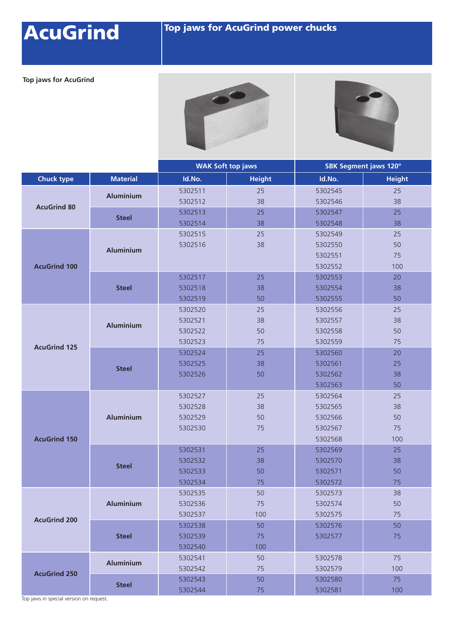# AcuGrind Top jaws for AcuGrind power chucks

**Top jaws for AcuGrind**





|                     |                  |                    | <b>WAK Soft top jaws</b> | SBK Segment jaws 120° |               |  |
|---------------------|------------------|--------------------|--------------------------|-----------------------|---------------|--|
| <b>Chuck type</b>   | <b>Material</b>  | Id.No.             | <b>Height</b>            | Id.No.                | <b>Height</b> |  |
|                     |                  | 5302511            | 25                       | 5302545               | 25            |  |
|                     | <b>Aluminium</b> | 5302512            | 38                       | 5302546               | 38            |  |
| <b>AcuGrind 80</b>  | <b>Steel</b>     | 5302513            | 25                       | 5302547               | 25            |  |
|                     |                  | 5302514            | 38                       | 5302548               | 38            |  |
|                     | <b>Aluminium</b> | 5302515            | 25                       | 5302549               | 25            |  |
|                     |                  | 5302516            | 38                       | 5302550               | 50            |  |
|                     |                  |                    |                          | 5302551               | 75            |  |
| <b>AcuGrind 100</b> |                  |                    |                          | 5302552               | 100           |  |
|                     | <b>Steel</b>     | 5302517            | 25                       | 5302553               | 20            |  |
|                     |                  | 5302518            | 38                       | 5302554               | 38            |  |
|                     |                  | 5302519            | 50                       | 5302555               | 50            |  |
|                     | <b>Aluminium</b> | 5302520            | 25                       | 5302556               | 25            |  |
|                     |                  | 5302521            | 38                       | 5302557               | 38            |  |
|                     |                  | 5302522            | 50                       | 5302558               | 50            |  |
| <b>AcuGrind 125</b> |                  | 5302523            | 75                       | 5302559               | 75            |  |
|                     | <b>Steel</b>     | 5302524            | 25                       | 5302560               | 20            |  |
|                     |                  | 5302525            | 38                       | 5302561               | 25            |  |
|                     |                  | 5302526            | 50                       | 5302562               | 38            |  |
|                     |                  |                    |                          | 5302563               | 50            |  |
|                     | <b>Aluminium</b> | 5302527            | 25                       | 5302564               | 25            |  |
|                     |                  | 5302528            | 38                       | 5302565               | 38            |  |
|                     |                  | 5302529            | 50                       | 5302566               | 50            |  |
|                     |                  | 5302530            | 75                       | 5302567               | 75            |  |
| <b>AcuGrind 150</b> |                  |                    |                          | 5302568               | 100           |  |
|                     | <b>Steel</b>     | 5302531            | 25                       | 5302569               | 25            |  |
|                     |                  | 5302532            | 38                       | 5302570               | 38            |  |
|                     |                  | 5302533            | 50                       | 5302571               | 50            |  |
|                     |                  | 5302534            | 75                       | 5302572               | 75            |  |
|                     |                  | 5302535            | 50                       | 5302573               | 38            |  |
| <b>AcuGrind 200</b> | <b>Aluminium</b> | 5302536            | 75                       | 5302574               | 50            |  |
|                     | <b>Steel</b>     | 5302537            | 100                      | 5302575               | 75            |  |
|                     |                  | 5302538<br>5302539 | 50<br>75                 | 5302576               | 50<br>75      |  |
|                     |                  | 5302540            | 100                      | 5302577               |               |  |
|                     |                  | 5302541            | 50                       | 5302578               | 75            |  |
| <b>AcuGrind 250</b> | <b>Aluminium</b> | 5302542            | 75                       | 5302579               | 100           |  |
|                     | <b>Steel</b>     | 5302543            | 50                       | 5302580               | 75            |  |
|                     |                  | 5302544            | 75                       | 5302581               | 100           |  |

Top jaws in special version on request.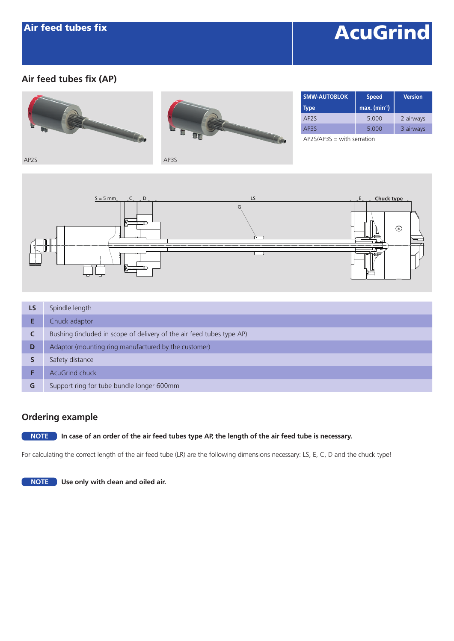## **AcuGrind**

### **Air feed tubes fix (AP)**





| <b>SMW-AUTOBLOK</b>         | <b>Speed</b>                | <b>Version</b> |  |
|-----------------------------|-----------------------------|----------------|--|
| <b>Type</b>                 | $max.$ (min <sup>-1</sup> ) |                |  |
| AP <sub>2</sub> S           | 5.000                       | 2 airways      |  |
| AP3S                        | 5.000                       | 3 airways      |  |
| $ADOC/ADOC$ $+b$ correction |                             |                |  |

AP2S/AP3S = with serration



| LS | Spindle length                                                        |
|----|-----------------------------------------------------------------------|
|    | Chuck adaptor                                                         |
| C  | Bushing (included in scope of delivery of the air feed tubes type AP) |
| D  | Adaptor (mounting ring manufactured by the customer)                  |
|    | Safety distance                                                       |
|    | <b>AcuGrind chuck</b>                                                 |
| G  | Support ring for tube bundle longer 600mm                             |

### **Ordering example**

#### **NOTE In case of an order of the air feed tubes type AP, the length of the air feed tube is necessary.**

For calculating the correct length of the air feed tube (LR) are the following dimensions necessary: LS, E, C, D and the chuck type!